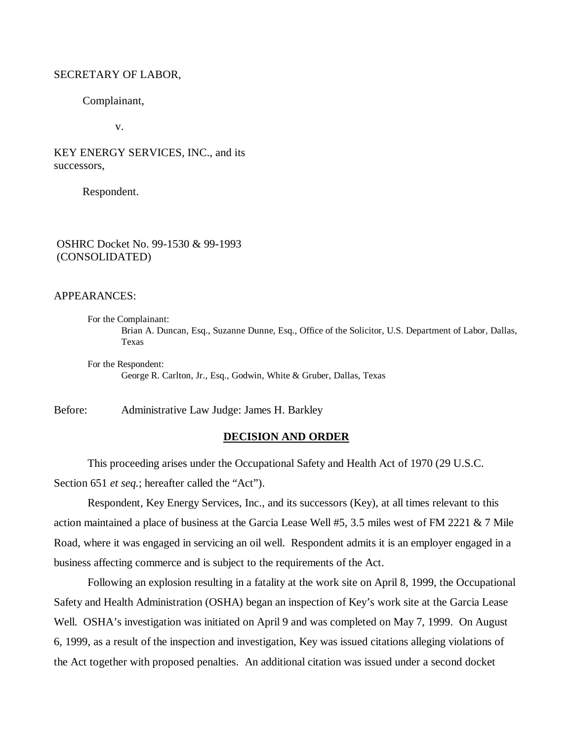#### SECRETARY OF LABOR,

Complainant,

v.

KEY ENERGY SERVICES, INC., and its successors,

Respondent.

## OSHRC Docket No. 99-1530 & 99-1993 (CONSOLIDATED)

#### APPEARANCES:

For the Complainant: Brian A. Duncan, Esq., Suzanne Dunne, Esq., Office of the Solicitor, U.S. Department of Labor, Dallas, Texas

For the Respondent: George R. Carlton, Jr., Esq., Godwin, White & Gruber, Dallas, Texas

Before: Administrative Law Judge: James H. Barkley

#### **DECISION AND ORDER**

This proceeding arises under the Occupational Safety and Health Act of 1970 (29 U.S.C. Section 651 *et seq.*; hereafter called the "Act").

Respondent, Key Energy Services, Inc., and its successors (Key), at all times relevant to this action maintained a place of business at the Garcia Lease Well #5, 3.5 miles west of FM 2221 & 7 Mile Road, where it was engaged in servicing an oil well. Respondent admits it is an employer engaged in a business affecting commerce and is subject to the requirements of the Act.

Following an explosion resulting in a fatality at the work site on April 8, 1999, the Occupational Safety and Health Administration (OSHA) began an inspection of Key's work site at the Garcia Lease Well. OSHA's investigation was initiated on April 9 and was completed on May 7, 1999. On August 6, 1999, as a result of the inspection and investigation, Key was issued citations alleging violations of the Act together with proposed penalties. An additional citation was issued under a second docket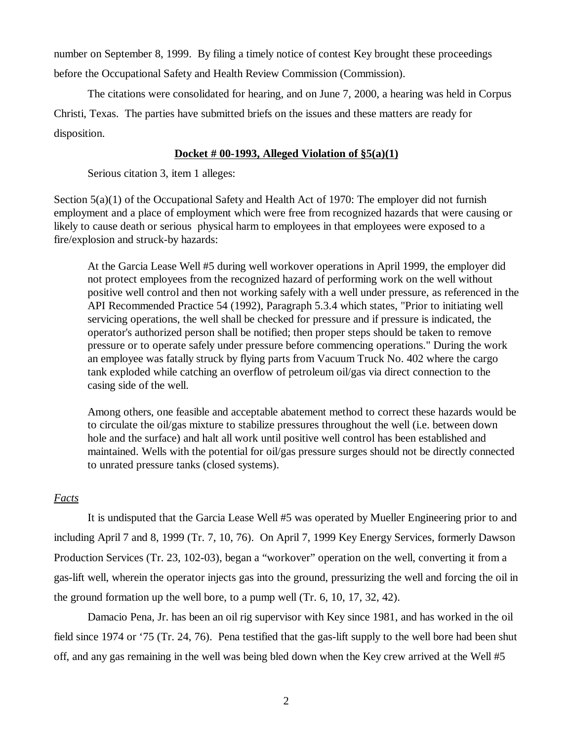number on September 8, 1999. By filing a timely notice of contest Key brought these proceedings before the Occupational Safety and Health Review Commission (Commission).

The citations were consolidated for hearing, and on June 7, 2000, a hearing was held in Corpus Christi, Texas. The parties have submitted briefs on the issues and these matters are ready for disposition.

## **Docket # 00-1993, Alleged Violation of §5(a)(1)**

Serious citation 3, item 1 alleges:

Section  $5(a)(1)$  of the Occupational Safety and Health Act of 1970: The employer did not furnish employment and a place of employment which were free from recognized hazards that were causing or likely to cause death or serious physical harm to employees in that employees were exposed to a fire/explosion and struck-by hazards:

At the Garcia Lease Well #5 during well workover operations in April 1999, the employer did not protect employees from the recognized hazard of performing work on the well without positive well control and then not working safely with a well under pressure, as referenced in the API Recommended Practice 54 (1992), Paragraph 5.3.4 which states, "Prior to initiating well servicing operations, the well shall be checked for pressure and if pressure is indicated, the operator's authorized person shall be notified; then proper steps should be taken to remove pressure or to operate safely under pressure before commencing operations." During the work an employee was fatally struck by flying parts from Vacuum Truck No. 402 where the cargo tank exploded while catching an overflow of petroleum oil/gas via direct connection to the casing side of the well.

Among others, one feasible and acceptable abatement method to correct these hazards would be to circulate the oil/gas mixture to stabilize pressures throughout the well (i.e. between down hole and the surface) and halt all work until positive well control has been established and maintained. Wells with the potential for oil/gas pressure surges should not be directly connected to unrated pressure tanks (closed systems).

# *Facts*

It is undisputed that the Garcia Lease Well #5 was operated by Mueller Engineering prior to and including April 7 and 8, 1999 (Tr. 7, 10, 76). On April 7, 1999 Key Energy Services, formerly Dawson Production Services (Tr. 23, 102-03), began a "workover" operation on the well, converting it from a gas-lift well, wherein the operator injects gas into the ground, pressurizing the well and forcing the oil in the ground formation up the well bore, to a pump well (Tr. 6, 10, 17, 32, 42).

Damacio Pena, Jr. has been an oil rig supervisor with Key since 1981, and has worked in the oil field since 1974 or '75 (Tr. 24, 76). Pena testified that the gas-lift supply to the well bore had been shut off, and any gas remaining in the well was being bled down when the Key crew arrived at the Well #5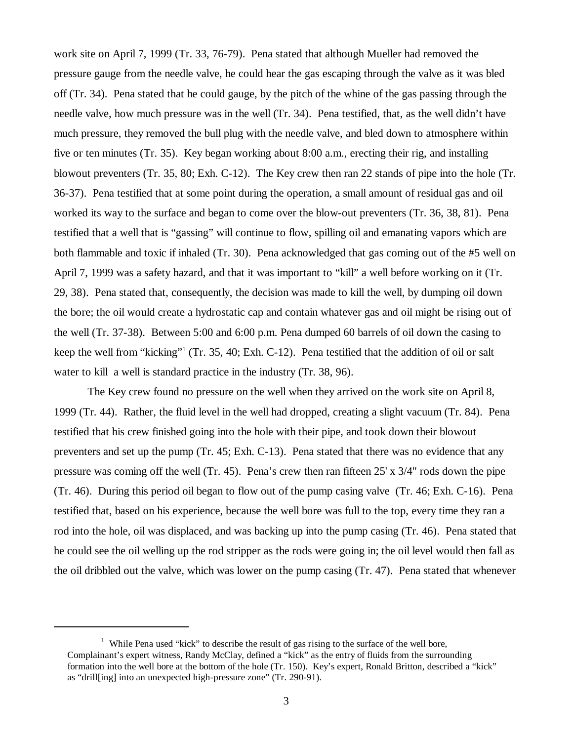work site on April 7, 1999 (Tr. 33, 76-79). Pena stated that although Mueller had removed the pressure gauge from the needle valve, he could hear the gas escaping through the valve as it was bled off (Tr. 34). Pena stated that he could gauge, by the pitch of the whine of the gas passing through the needle valve, how much pressure was in the well (Tr. 34). Pena testified, that, as the well didn't have much pressure, they removed the bull plug with the needle valve, and bled down to atmosphere within five or ten minutes (Tr. 35). Key began working about 8:00 a.m., erecting their rig, and installing blowout preventers (Tr. 35, 80; Exh. C-12). The Key crew then ran 22 stands of pipe into the hole (Tr. 36-37). Pena testified that at some point during the operation, a small amount of residual gas and oil worked its way to the surface and began to come over the blow-out preventers (Tr. 36, 38, 81). Pena testified that a well that is "gassing" will continue to flow, spilling oil and emanating vapors which are both flammable and toxic if inhaled (Tr. 30). Pena acknowledged that gas coming out of the #5 well on April 7, 1999 was a safety hazard, and that it was important to "kill" a well before working on it (Tr. 29, 38). Pena stated that, consequently, the decision was made to kill the well, by dumping oil down the bore; the oil would create a hydrostatic cap and contain whatever gas and oil might be rising out of the well (Tr. 37-38). Between 5:00 and 6:00 p.m. Pena dumped 60 barrels of oil down the casing to keep the well from "kicking"<sup>1</sup> (Tr. 35, 40; Exh. C-12). Pena testified that the addition of oil or salt water to kill a well is standard practice in the industry (Tr. 38, 96).

The Key crew found no pressure on the well when they arrived on the work site on April 8, 1999 (Tr. 44). Rather, the fluid level in the well had dropped, creating a slight vacuum (Tr. 84). Pena testified that his crew finished going into the hole with their pipe, and took down their blowout preventers and set up the pump (Tr. 45; Exh. C-13). Pena stated that there was no evidence that any pressure was coming off the well (Tr. 45). Pena's crew then ran fifteen 25' x 3/4" rods down the pipe (Tr. 46). During this period oil began to flow out of the pump casing valve (Tr. 46; Exh. C-16). Pena testified that, based on his experience, because the well bore was full to the top, every time they ran a rod into the hole, oil was displaced, and was backing up into the pump casing (Tr. 46). Pena stated that he could see the oil welling up the rod stripper as the rods were going in; the oil level would then fall as the oil dribbled out the valve, which was lower on the pump casing (Tr. 47). Pena stated that whenever

<sup>&</sup>lt;sup>1</sup> While Pena used "kick" to describe the result of gas rising to the surface of the well bore, Complainant's expert witness, Randy McClay, defined a "kick" as the entry of fluids from the surrounding formation into the well bore at the bottom of the hole (Tr. 150). Key's expert, Ronald Britton, described a "kick" as "drill[ing] into an unexpected high-pressure zone" (Tr. 290-91).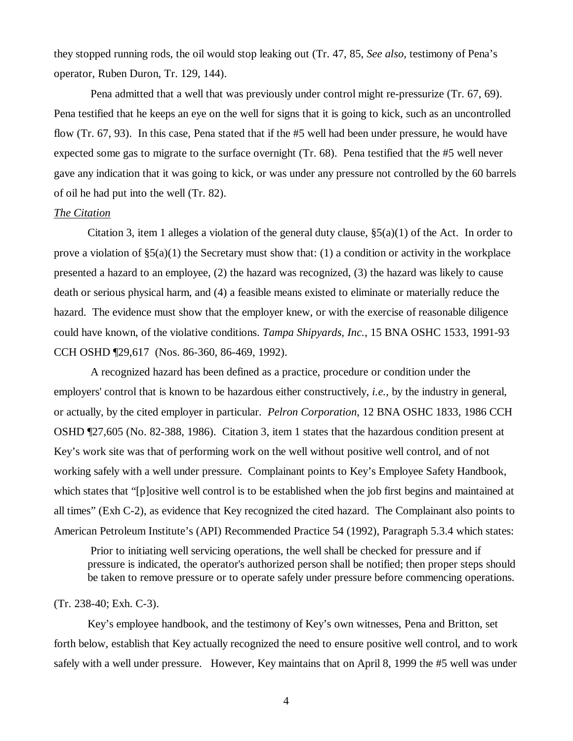they stopped running rods, the oil would stop leaking out (Tr. 47, 85, *See also,* testimony of Pena's operator, Ruben Duron, Tr. 129, 144).

 Pena admitted that a well that was previously under control might re-pressurize (Tr. 67, 69). Pena testified that he keeps an eye on the well for signs that it is going to kick, such as an uncontrolled flow (Tr. 67, 93). In this case, Pena stated that if the #5 well had been under pressure, he would have expected some gas to migrate to the surface overnight (Tr. 68). Pena testified that the #5 well never gave any indication that it was going to kick, or was under any pressure not controlled by the 60 barrels of oil he had put into the well (Tr. 82).

### *The Citation*

Citation 3, item 1 alleges a violation of the general duty clause,  $\S(3a)(1)$  of the Act. In order to prove a violation of  $\S(3)(1)$  the Secretary must show that: (1) a condition or activity in the workplace presented a hazard to an employee, (2) the hazard was recognized, (3) the hazard was likely to cause death or serious physical harm, and (4) a feasible means existed to eliminate or materially reduce the hazard. The evidence must show that the employer knew, or with the exercise of reasonable diligence could have known, of the violative conditions. *Tampa Shipyards, Inc.*, 15 BNA OSHC 1533, 1991-93 CCH OSHD ¶29,617 (Nos. 86-360, 86-469, 1992).

 A recognized hazard has been defined as a practice, procedure or condition under the employers' control that is known to be hazardous either constructively, *i.e.,* by the industry in general, or actually, by the cited employer in particular. *Pelron Corporation*, 12 BNA OSHC 1833, 1986 CCH OSHD ¶27,605 (No. 82-388, 1986). Citation 3, item 1 states that the hazardous condition present at Key's work site was that of performing work on the well without positive well control, and of not working safely with a well under pressure. Complainant points to Key's Employee Safety Handbook, which states that "[p]ositive well control is to be established when the job first begins and maintained at all times" (Exh C-2), as evidence that Key recognized the cited hazard. The Complainant also points to American Petroleum Institute's (API) Recommended Practice 54 (1992), Paragraph 5.3.4 which states:

 Prior to initiating well servicing operations, the well shall be checked for pressure and if pressure is indicated, the operator's authorized person shall be notified; then proper steps should be taken to remove pressure or to operate safely under pressure before commencing operations.

### (Tr. 238-40; Exh. C-3).

Key's employee handbook, and the testimony of Key's own witnesses, Pena and Britton, set forth below, establish that Key actually recognized the need to ensure positive well control, and to work safely with a well under pressure. However, Key maintains that on April 8, 1999 the #5 well was under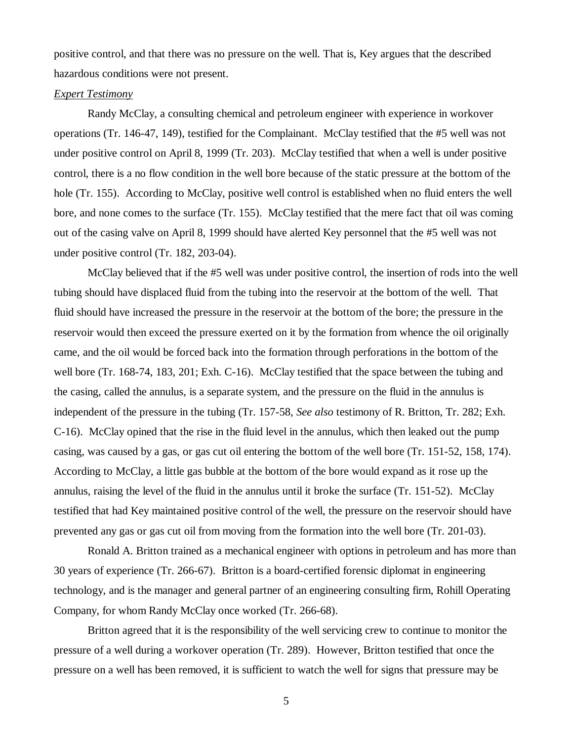positive control, and that there was no pressure on the well. That is, Key argues that the described hazardous conditions were not present.

#### *Expert Testimony*

Randy McClay, a consulting chemical and petroleum engineer with experience in workover operations (Tr. 146-47, 149), testified for the Complainant. McClay testified that the #5 well was not under positive control on April 8, 1999 (Tr. 203). McClay testified that when a well is under positive control, there is a no flow condition in the well bore because of the static pressure at the bottom of the hole (Tr. 155). According to McClay, positive well control is established when no fluid enters the well bore, and none comes to the surface (Tr. 155). McClay testified that the mere fact that oil was coming out of the casing valve on April 8, 1999 should have alerted Key personnel that the #5 well was not under positive control (Tr. 182, 203-04).

McClay believed that if the #5 well was under positive control, the insertion of rods into the well tubing should have displaced fluid from the tubing into the reservoir at the bottom of the well. That fluid should have increased the pressure in the reservoir at the bottom of the bore; the pressure in the reservoir would then exceed the pressure exerted on it by the formation from whence the oil originally came, and the oil would be forced back into the formation through perforations in the bottom of the well bore (Tr. 168-74, 183, 201; Exh. C-16). McClay testified that the space between the tubing and the casing, called the annulus, is a separate system, and the pressure on the fluid in the annulus is independent of the pressure in the tubing (Tr. 157-58, *See also* testimony of R. Britton, Tr. 282; Exh. C-16). McClay opined that the rise in the fluid level in the annulus, which then leaked out the pump casing, was caused by a gas, or gas cut oil entering the bottom of the well bore (Tr. 151-52, 158, 174). According to McClay, a little gas bubble at the bottom of the bore would expand as it rose up the annulus, raising the level of the fluid in the annulus until it broke the surface (Tr. 151-52). McClay testified that had Key maintained positive control of the well, the pressure on the reservoir should have prevented any gas or gas cut oil from moving from the formation into the well bore (Tr. 201-03).

Ronald A. Britton trained as a mechanical engineer with options in petroleum and has more than 30 years of experience (Tr. 266-67). Britton is a board-certified forensic diplomat in engineering technology, and is the manager and general partner of an engineering consulting firm, Rohill Operating Company, for whom Randy McClay once worked (Tr. 266-68).

Britton agreed that it is the responsibility of the well servicing crew to continue to monitor the pressure of a well during a workover operation (Tr. 289). However, Britton testified that once the pressure on a well has been removed, it is sufficient to watch the well for signs that pressure may be

5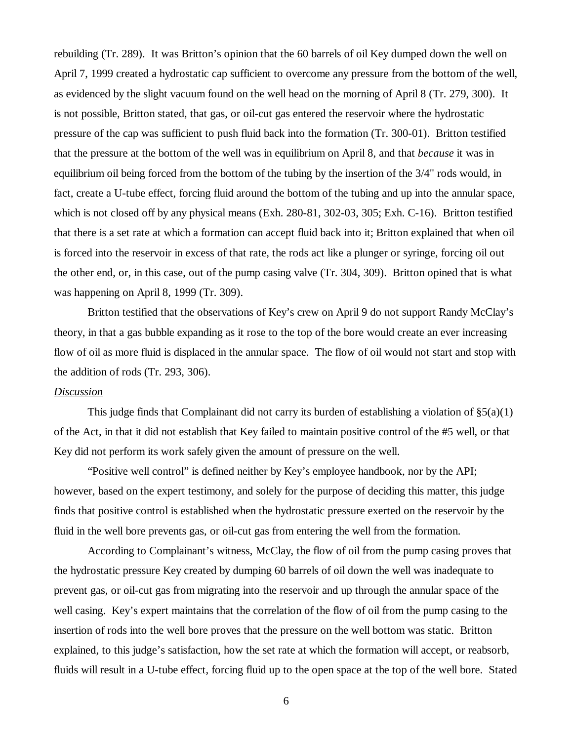rebuilding (Tr. 289). It was Britton's opinion that the 60 barrels of oil Key dumped down the well on April 7, 1999 created a hydrostatic cap sufficient to overcome any pressure from the bottom of the well, as evidenced by the slight vacuum found on the well head on the morning of April 8 (Tr. 279, 300). It is not possible, Britton stated, that gas, or oil-cut gas entered the reservoir where the hydrostatic pressure of the cap was sufficient to push fluid back into the formation (Tr. 300-01). Britton testified that the pressure at the bottom of the well was in equilibrium on April 8, and that *because* it was in equilibrium oil being forced from the bottom of the tubing by the insertion of the 3/4" rods would, in fact, create a U-tube effect, forcing fluid around the bottom of the tubing and up into the annular space, which is not closed off by any physical means (Exh. 280-81, 302-03, 305; Exh. C-16). Britton testified that there is a set rate at which a formation can accept fluid back into it; Britton explained that when oil is forced into the reservoir in excess of that rate, the rods act like a plunger or syringe, forcing oil out the other end, or, in this case, out of the pump casing valve (Tr. 304, 309). Britton opined that is what was happening on April 8, 1999 (Tr. 309).

Britton testified that the observations of Key's crew on April 9 do not support Randy McClay's theory, in that a gas bubble expanding as it rose to the top of the bore would create an ever increasing flow of oil as more fluid is displaced in the annular space. The flow of oil would not start and stop with the addition of rods (Tr. 293, 306).

## *Discussion*

This judge finds that Complainant did not carry its burden of establishing a violation of  $\S5(a)(1)$ of the Act, in that it did not establish that Key failed to maintain positive control of the #5 well, or that Key did not perform its work safely given the amount of pressure on the well.

"Positive well control" is defined neither by Key's employee handbook, nor by the API; however, based on the expert testimony, and solely for the purpose of deciding this matter, this judge finds that positive control is established when the hydrostatic pressure exerted on the reservoir by the fluid in the well bore prevents gas, or oil-cut gas from entering the well from the formation.

According to Complainant's witness, McClay, the flow of oil from the pump casing proves that the hydrostatic pressure Key created by dumping 60 barrels of oil down the well was inadequate to prevent gas, or oil-cut gas from migrating into the reservoir and up through the annular space of the well casing. Key's expert maintains that the correlation of the flow of oil from the pump casing to the insertion of rods into the well bore proves that the pressure on the well bottom was static. Britton explained, to this judge's satisfaction, how the set rate at which the formation will accept, or reabsorb, fluids will result in a U-tube effect, forcing fluid up to the open space at the top of the well bore. Stated

6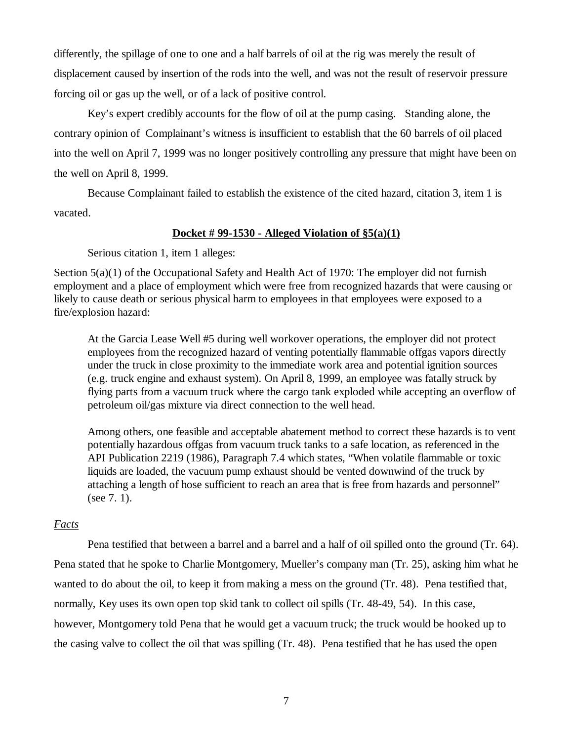differently, the spillage of one to one and a half barrels of oil at the rig was merely the result of displacement caused by insertion of the rods into the well, and was not the result of reservoir pressure forcing oil or gas up the well, or of a lack of positive control.

Key's expert credibly accounts for the flow of oil at the pump casing. Standing alone, the contrary opinion of Complainant's witness is insufficient to establish that the 60 barrels of oil placed into the well on April 7, 1999 was no longer positively controlling any pressure that might have been on the well on April 8, 1999.

Because Complainant failed to establish the existence of the cited hazard, citation 3, item 1 is vacated.

#### **Docket # 99-1530 - Alleged Violation of §5(a)(1)**

Serious citation 1, item 1 alleges:

Section  $5(a)(1)$  of the Occupational Safety and Health Act of 1970: The employer did not furnish employment and a place of employment which were free from recognized hazards that were causing or likely to cause death or serious physical harm to employees in that employees were exposed to a fire/explosion hazard:

At the Garcia Lease Well #5 during well workover operations, the employer did not protect employees from the recognized hazard of venting potentially flammable offgas vapors directly under the truck in close proximity to the immediate work area and potential ignition sources (e.g. truck engine and exhaust system). On April 8, 1999, an employee was fatally struck by flying parts from a vacuum truck where the cargo tank exploded while accepting an overflow of petroleum oil/gas mixture via direct connection to the well head.

Among others, one feasible and acceptable abatement method to correct these hazards is to vent potentially hazardous offgas from vacuum truck tanks to a safe location, as referenced in the API Publication 2219 (1986), Paragraph 7.4 which states, "When volatile flammable or toxic liquids are loaded, the vacuum pump exhaust should be vented downwind of the truck by attaching a length of hose sufficient to reach an area that is free from hazards and personnel" (see 7. 1).

## *Facts*

Pena testified that between a barrel and a barrel and a half of oil spilled onto the ground (Tr. 64). Pena stated that he spoke to Charlie Montgomery, Mueller's company man (Tr. 25), asking him what he wanted to do about the oil, to keep it from making a mess on the ground (Tr. 48). Pena testified that, normally, Key uses its own open top skid tank to collect oil spills (Tr. 48-49, 54). In this case, however, Montgomery told Pena that he would get a vacuum truck; the truck would be hooked up to the casing valve to collect the oil that was spilling (Tr. 48). Pena testified that he has used the open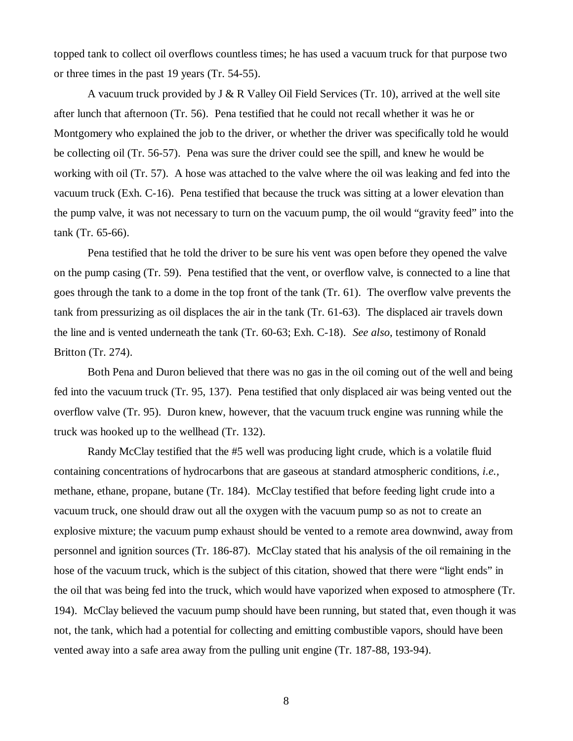topped tank to collect oil overflows countless times; he has used a vacuum truck for that purpose two or three times in the past 19 years (Tr. 54-55).

A vacuum truck provided by  $J \& R$  Valley Oil Field Services (Tr. 10), arrived at the well site after lunch that afternoon (Tr. 56). Pena testified that he could not recall whether it was he or Montgomery who explained the job to the driver, or whether the driver was specifically told he would be collecting oil (Tr. 56-57). Pena was sure the driver could see the spill, and knew he would be working with oil (Tr. 57). A hose was attached to the valve where the oil was leaking and fed into the vacuum truck (Exh. C-16). Pena testified that because the truck was sitting at a lower elevation than the pump valve, it was not necessary to turn on the vacuum pump, the oil would "gravity feed" into the tank (Tr. 65-66).

Pena testified that he told the driver to be sure his vent was open before they opened the valve on the pump casing (Tr. 59). Pena testified that the vent, or overflow valve, is connected to a line that goes through the tank to a dome in the top front of the tank (Tr. 61). The overflow valve prevents the tank from pressurizing as oil displaces the air in the tank (Tr. 61-63). The displaced air travels down the line and is vented underneath the tank (Tr. 60-63; Exh. C-18). *See also,* testimony of Ronald Britton (Tr. 274).

Both Pena and Duron believed that there was no gas in the oil coming out of the well and being fed into the vacuum truck (Tr. 95, 137). Pena testified that only displaced air was being vented out the overflow valve (Tr. 95). Duron knew, however, that the vacuum truck engine was running while the truck was hooked up to the wellhead (Tr. 132).

Randy McClay testified that the #5 well was producing light crude, which is a volatile fluid containing concentrations of hydrocarbons that are gaseous at standard atmospheric conditions, *i.e.,* methane, ethane, propane, butane (Tr. 184). McClay testified that before feeding light crude into a vacuum truck, one should draw out all the oxygen with the vacuum pump so as not to create an explosive mixture; the vacuum pump exhaust should be vented to a remote area downwind, away from personnel and ignition sources (Tr. 186-87). McClay stated that his analysis of the oil remaining in the hose of the vacuum truck, which is the subject of this citation, showed that there were "light ends" in the oil that was being fed into the truck, which would have vaporized when exposed to atmosphere (Tr. 194). McClay believed the vacuum pump should have been running, but stated that, even though it was not, the tank, which had a potential for collecting and emitting combustible vapors, should have been vented away into a safe area away from the pulling unit engine (Tr. 187-88, 193-94).

8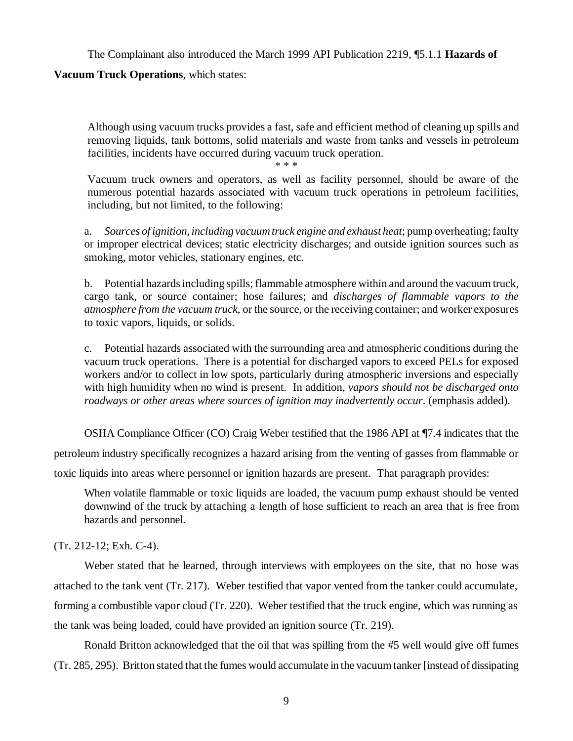The Complainant also introduced the March 1999 API Publication 2219, ¶5.1.1 **Hazards of**

## **Vacuum Truck Operations**, which states:

Although using vacuum trucks provides a fast, safe and efficient method of cleaning up spills and removing liquids, tank bottoms, solid materials and waste from tanks and vessels in petroleum facilities, incidents have occurred during vacuum truck operation.

\* \* \*

Vacuum truck owners and operators, as well as facility personnel, should be aware of the numerous potential hazards associated with vacuum truck operations in petroleum facilities, including, but not limited, to the following:

a. *Sources of ignition, including vacuum truck engine and exhaust heat*; pump overheating; faulty or improper electrical devices; static electricity discharges; and outside ignition sources such as smoking, motor vehicles, stationary engines, etc.

b. Potential hazards including spills; flammable atmosphere within and around the vacuum truck, cargo tank, or source container; hose failures; and *discharges of flammable vapors to the atmosphere from the vacuum truck*, or the source, or the receiving container; and worker exposures to toxic vapors, liquids, or solids.

c. Potential hazards associated with the surrounding area and atmospheric conditions during the vacuum truck operations. There is a potential for discharged vapors to exceed PELs for exposed workers and/or to collect in low spots, particularly during atmospheric inversions and especially with high humidity when no wind is present. In addition, *vapors should not be discharged onto roadways or other areas where sources of ignition may inadvertently occur*. (emphasis added).

OSHA Compliance Officer (CO) Craig Weber testified that the 1986 API at ¶7.4 indicates that the

petroleum industry specifically recognizes a hazard arising from the venting of gasses from flammable or

toxic liquids into areas where personnel or ignition hazards are present. That paragraph provides:

When volatile flammable or toxic liquids are loaded, the vacuum pump exhaust should be vented downwind of the truck by attaching a length of hose sufficient to reach an area that is free from hazards and personnel.

(Tr. 212-12; Exh. C-4).

Weber stated that he learned, through interviews with employees on the site, that no hose was attached to the tank vent (Tr. 217). Weber testified that vapor vented from the tanker could accumulate, forming a combustible vapor cloud (Tr. 220). Weber testified that the truck engine, which was running as the tank was being loaded, could have provided an ignition source (Tr. 219).

Ronald Britton acknowledged that the oil that was spilling from the #5 well would give off fumes (Tr. 285, 295). Britton stated that the fumes would accumulate in the vacuum tanker [instead of dissipating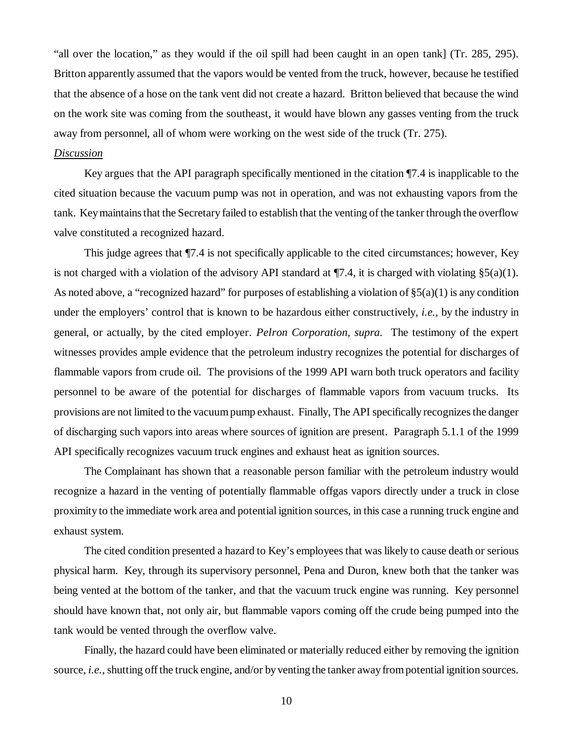"all over the location," as they would if the oil spill had been caught in an open tank] (Tr. 285, 295). Britton apparently assumed that the vapors would be vented from the truck, however, because he testified that the absence of a hose on the tank vent did not create a hazard. Britton believed that because the wind on the work site was coming from the southeast, it would have blown any gasses venting from the truck away from personnel, all of whom were working on the west side of the truck (Tr. 275).

## *Discussion*

Key argues that the API paragraph specifically mentioned in the citation ¶7.4 is inapplicable to the cited situation because the vacuum pump was not in operation, and was not exhausting vapors from the tank. Key maintains that the Secretary failed to establish that the venting of the tanker through the overflow valve constituted a recognized hazard.

This judge agrees that ¶7.4 is not specifically applicable to the cited circumstances; however, Key is not charged with a violation of the advisory API standard at  $\P$ 7.4, it is charged with violating §5(a)(1). As noted above, a "recognized hazard" for purposes of establishing a violation of  $\S5(a)(1)$  is any condition under the employers' control that is known to be hazardous either constructively, *i.e.,* by the industry in general, or actually, by the cited employer. *Pelron Corporation, supra.* The testimony of the expert witnesses provides ample evidence that the petroleum industry recognizes the potential for discharges of flammable vapors from crude oil. The provisions of the 1999 API warn both truck operators and facility personnel to be aware of the potential for discharges of flammable vapors from vacuum trucks. Its provisions are not limited to the vacuum pump exhaust. Finally, The API specifically recognizes the danger of discharging such vapors into areas where sources of ignition are present. Paragraph 5.1.1 of the 1999 API specifically recognizes vacuum truck engines and exhaust heat as ignition sources.

The Complainant has shown that a reasonable person familiar with the petroleum industry would recognize a hazard in the venting of potentially flammable offgas vapors directly under a truck in close proximity to the immediate work area and potential ignition sources, in this case a running truck engine and exhaust system.

The cited condition presented a hazard to Key's employees that was likely to cause death or serious physical harm. Key, through its supervisory personnel, Pena and Duron, knew both that the tanker was being vented at the bottom of the tanker, and that the vacuum truck engine was running. Key personnel should have known that, not only air, but flammable vapors coming off the crude being pumped into the tank would be vented through the overflow valve.

Finally, the hazard could have been eliminated or materially reduced either by removing the ignition source, *i.e.*, shutting off the truck engine, and/or by venting the tanker away from potential ignition sources.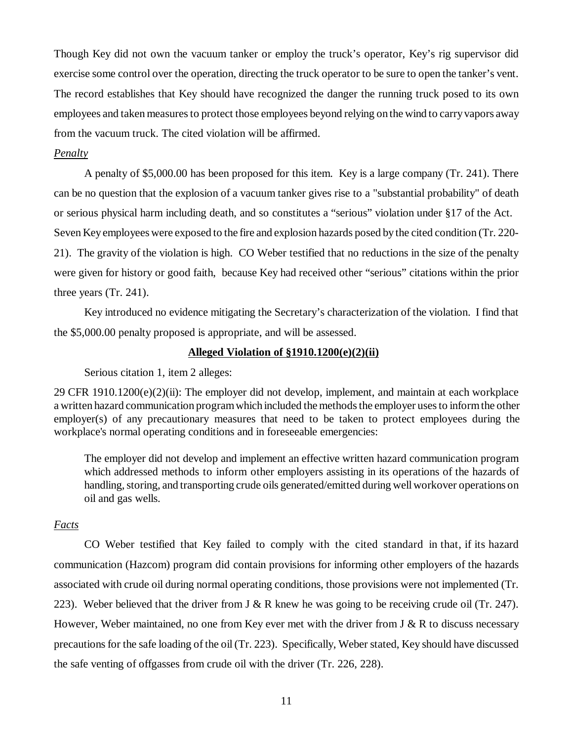Though Key did not own the vacuum tanker or employ the truck's operator, Key's rig supervisor did exercise some control over the operation, directing the truck operator to be sure to open the tanker's vent. The record establishes that Key should have recognized the danger the running truck posed to its own employees and taken measures to protect those employees beyond relying on the wind to carry vapors away from the vacuum truck. The cited violation will be affirmed.

### *Penalty*

A penalty of \$5,000.00 has been proposed for this item. Key is a large company (Tr. 241). There can be no question that the explosion of a vacuum tanker gives rise to a "substantial probability" of death or serious physical harm including death, and so constitutes a "serious" violation under §17 of the Act. Seven Key employees were exposed to the fire and explosion hazards posed by the cited condition (Tr. 220- 21). The gravity of the violation is high. CO Weber testified that no reductions in the size of the penalty were given for history or good faith, because Key had received other "serious" citations within the prior three years (Tr. 241).

Key introduced no evidence mitigating the Secretary's characterization of the violation. I find that the \$5,000.00 penalty proposed is appropriate, and will be assessed.

### **Alleged Violation of §1910.1200(e)(2)(ii)**

Serious citation 1, item 2 alleges:

 $29$  CFR 1910.1200(e)(2)(ii): The employer did not develop, implement, and maintain at each workplace a written hazard communication program which included the methods the employer uses to inform the other employer(s) of any precautionary measures that need to be taken to protect employees during the workplace's normal operating conditions and in foreseeable emergencies:

The employer did not develop and implement an effective written hazard communication program which addressed methods to inform other employers assisting in its operations of the hazards of handling, storing, and transporting crude oils generated/emitted during well workover operations on oil and gas wells.

# *Facts*

 CO Weber testified that Key failed to comply with the cited standard in that, if its hazard communication (Hazcom) program did contain provisions for informing other employers of the hazards associated with crude oil during normal operating conditions, those provisions were not implemented (Tr. 223). Weber believed that the driver from J & R knew he was going to be receiving crude oil (Tr. 247). However, Weber maintained, no one from Key ever met with the driver from  $J \& R$  to discuss necessary precautions for the safe loading of the oil (Tr. 223). Specifically, Weber stated, Key should have discussed the safe venting of offgasses from crude oil with the driver (Tr. 226, 228).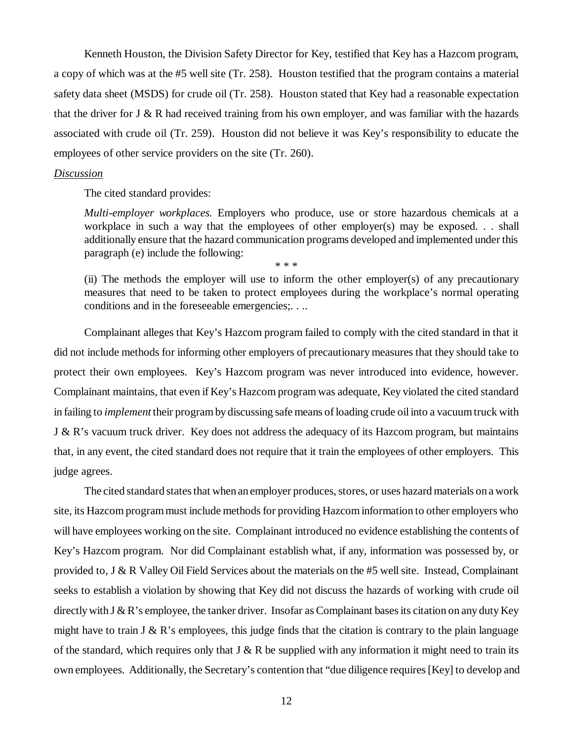Kenneth Houston, the Division Safety Director for Key, testified that Key has a Hazcom program, a copy of which was at the #5 well site (Tr. 258). Houston testified that the program contains a material safety data sheet (MSDS) for crude oil (Tr. 258). Houston stated that Key had a reasonable expectation that the driver for  $J \& R$  had received training from his own employer, and was familiar with the hazards associated with crude oil (Tr. 259). Houston did not believe it was Key's responsibility to educate the employees of other service providers on the site (Tr. 260).

#### *Discussion*

The cited standard provides:

*Multi-employer workplaces.* Employers who produce, use or store hazardous chemicals at a workplace in such a way that the employees of other employer(s) may be exposed. . . shall additionally ensure that the hazard communication programs developed and implemented under this paragraph (e) include the following: \* \* \*

(ii) The methods the employer will use to inform the other employer(s) of any precautionary measures that need to be taken to protect employees during the workplace's normal operating conditions and in the foreseeable emergencies;. . ..

Complainant alleges that Key's Hazcom program failed to comply with the cited standard in that it did not include methods for informing other employers of precautionary measures that they should take to protect their own employees. Key's Hazcom program was never introduced into evidence, however. Complainant maintains, that even if Key's Hazcom program was adequate, Key violated the cited standard in failing to *implement* their program by discussing safe means of loading crude oil into a vacuum truck with J & R's vacuum truck driver. Key does not address the adequacy of its Hazcom program, but maintains that, in any event, the cited standard does not require that it train the employees of other employers. This judge agrees.

The cited standard states that when an employer produces, stores, or uses hazard materials on a work site, its Hazcom program must include methods for providing Hazcom information to other employers who will have employees working on the site. Complainant introduced no evidence establishing the contents of Key's Hazcom program. Nor did Complainant establish what, if any, information was possessed by, or provided to, J & R Valley Oil Field Services about the materials on the #5 well site. Instead, Complainant seeks to establish a violation by showing that Key did not discuss the hazards of working with crude oil directly with J & R's employee, the tanker driver. Insofar as Complainant bases its citation on any duty Key might have to train  $J \& R$ 's employees, this judge finds that the citation is contrary to the plain language of the standard, which requires only that  $J \& R$  be supplied with any information it might need to train its own employees. Additionally, the Secretary's contention that "due diligence requires [Key] to develop and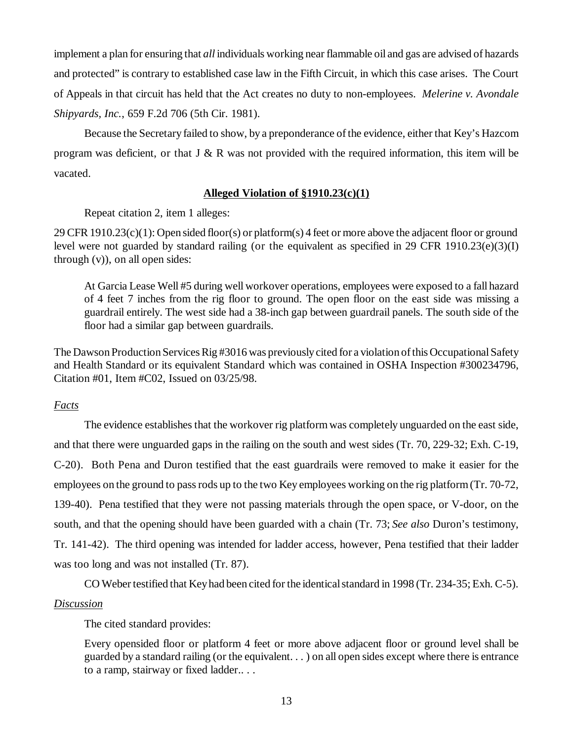implement a plan for ensuring that *all* individuals working near flammable oil and gas are advised of hazards and protected" is contrary to established case law in the Fifth Circuit, in which this case arises. The Court of Appeals in that circuit has held that the Act creates no duty to non-employees. *Melerine v. Avondale Shipyards, Inc.*, 659 F.2d 706 (5th Cir. 1981).

Because the Secretary failed to show, by a preponderance of the evidence, either that Key's Hazcom program was deficient, or that J & R was not provided with the required information, this item will be vacated.

# **Alleged Violation of §1910.23(c)(1)**

Repeat citation 2, item 1 alleges:

29 CFR 1910.23(c)(1): Open sided floor(s) or platform(s) 4 feet or more above the adjacent floor or ground level were not guarded by standard railing (or the equivalent as specified in 29 CFR 1910.23(e)(3)(I) through (v)), on all open sides:

At Garcia Lease Well #5 during well workover operations, employees were exposed to a fall hazard of 4 feet 7 inches from the rig floor to ground. The open floor on the east side was missing a guardrail entirely. The west side had a 38-inch gap between guardrail panels. The south side of the floor had a similar gap between guardrails.

The Dawson Production Services Rig #3016 was previously cited for a violation of this Occupational Safety and Health Standard or its equivalent Standard which was contained in OSHA Inspection #300234796, Citation #01, Item #C02, Issued on 03/25/98.

# *Facts*

The evidence establishes that the workover rig platform was completely unguarded on the east side, and that there were unguarded gaps in the railing on the south and west sides (Tr. 70, 229-32; Exh. C-19, C-20). Both Pena and Duron testified that the east guardrails were removed to make it easier for the employees on the ground to pass rods up to the two Key employees working on the rig platform (Tr. 70-72, 139-40). Pena testified that they were not passing materials through the open space, or V-door, on the south, and that the opening should have been guarded with a chain (Tr. 73; *See also* Duron's testimony, Tr. 141-42). The third opening was intended for ladder access, however, Pena testified that their ladder was too long and was not installed (Tr. 87).

CO Weber testified that Key had been cited for the identical standard in 1998 (Tr. 234-35; Exh. C-5).

# *Discussion*

The cited standard provides:

Every opensided floor or platform 4 feet or more above adjacent floor or ground level shall be guarded by a standard railing (or the equivalent. . . ) on all open sides except where there is entrance to a ramp, stairway or fixed ladder.. . .